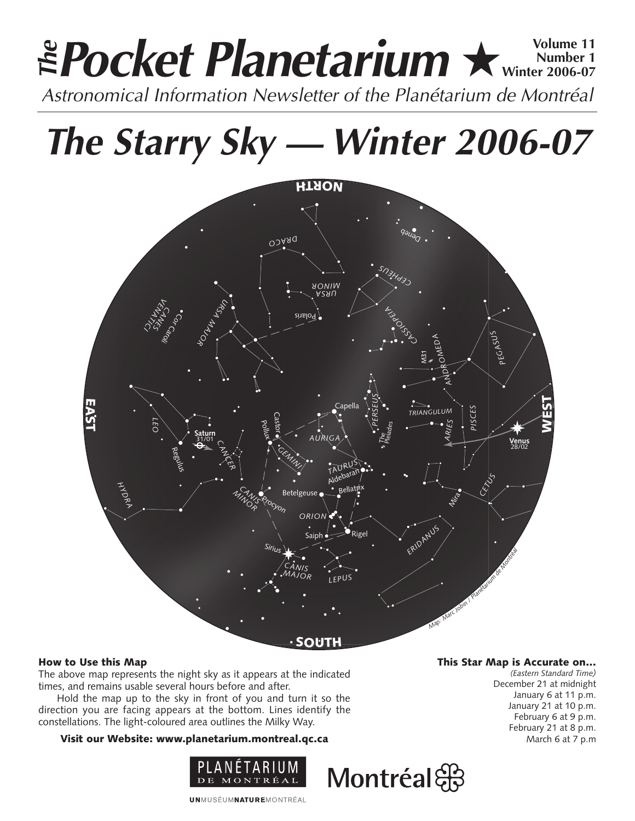# **Pocket Planetarium ★ Winter 2006-07 Number 1 Winter 2006-07 EPocket Planetarium**  $\star$  Number 1

**The Starry Sky — Winter 2006-07**



# How to Use this Map

The above map represents the night sky as it appears at the indicated times, and remains usable several hours before and after.

Hold the map up to the sky in front of you and turn it so the direction you are facing appears at the bottom. Lines identify the constellations. The light-coloured area outlines the Milky Way.

# Visit our Website: www.planetarium.montreal.qc.ca



**UNMUSÉUMNATUREMONTRÉAL** 

# This Star Map is Accurate on…

*(Eastern Standard Time)* December 21 at midnight January 6 at 11 p.m. January 21 at 10 p.m. February 6 at 9 p.m. February 21 at 8 p.m. March 6 at 7 p.m